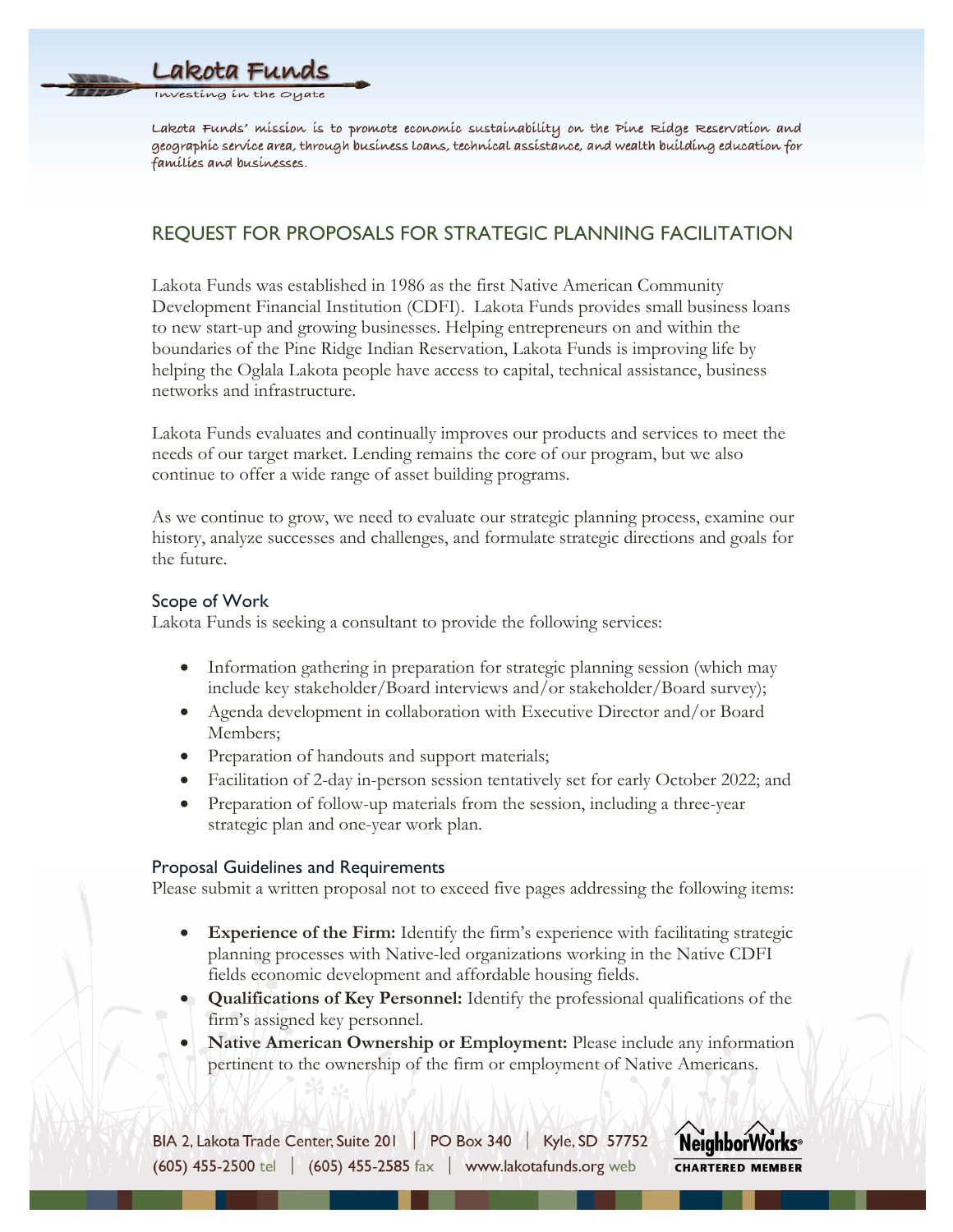

Lakota Funds' míssíon is to promote economic sustainability on the Pine Ridge Reservation and geographíc service area, through business loans, technical assistance, and wealth building education for famílies and businesses.

# REQUEST FOR PROPOSALS FOR STRATEGIC PLANNING FACILITATION

Lakota Funds was established in 1986 as the first Native American Community Development Financial Institution (CDFI). Lakota Funds provides small business loans to new start-up and growing businesses. Helping entrepreneurs on and within the boundaries of the Pine Ridge Indian Reservation, Lakota Funds is improving life by helping the Oglala Lakota people have access to capital, technical assistance, business networks and infrastructure.

Lakota Funds evaluates and continually improves our products and services to meet the needs of our target market. Lending remains the core of our program, but we also continue to offer a wide range of asset building programs.

As we continue to grow, we need to evaluate our strategic planning process, examine our history, analyze successes and challenges, and formulate strategic directions and goals for the future.

## Scope of Work

Lakota Funds is seeking a consultant to provide the following services:

- Information gathering in preparation for strategic planning session (which may include key stakeholder/Board interviews and/or stakeholder/Board survey);
- Agenda development in collaboration with Executive Director and/or Board Members;
- Preparation of handouts and support materials;
- Facilitation of 2-day in-person session tentatively set for early October 2022; and
- Preparation of follow-up materials from the session, including a three-year strategic plan and one-year work plan.

#### Proposal Guidelines and Requirements

Please submit a written proposal not to exceed five pages addressing the following items:

- **Experience of the Firm:** Identify the firm's experience with facilitating strategic planning processes with Native-led organizations working in the Native CDFI fields economic development and affordable housing fields.
- **Qualifications of Key Personnel:** Identify the professional qualifications of the firm's assigned key personnel.
- **Native American Ownership or Employment:** Please include any information pertinent to the ownership of the firm or employment of Native Americans.

BIA 2, Lakota Trade Center, Suite 201 | PO Box 340 | Kyle, SD 57752  $(605)$  455-2500 tel (605) 455-2585 fax | www.lakotafunds.org web